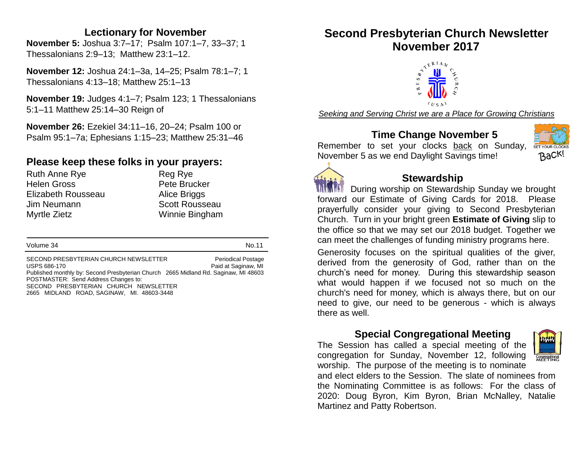#### **Lectionary for November**

**November 5:** Joshua 3:7–17; Psalm 107:1–7, 33–37; 1 Thessalonians 2:9–13; Matthew 23:1–12.

**November 12:** Joshua 24:1–3a, 14–25; Psalm 78:1–7; 1 Thessalonians 4:13–18; Matthew 25:1–13

**November 19:** Judges 4:1–7; Psalm 123; 1 Thessalonians 5:1–11 Matthew 25:14–30 Reign of

**November 26:** Ezekiel 34:11–16, 20–24; Psalm 100 or Psalm 95:1–7a; Ephesians 1:15–23; Matthew 25:31–46

### **Please keep these folks in your prayers:**

Ruth Anne Rye **Reg Rye** Reg Rye Helen Gross **Pete Brucker** Elizabeth Rousseau Alice Briggs Jim Neumann Scott Rousseau Myrtle Zietz Winnie Bingham

Volume 34 No.11

SECOND PRESBYTERIAN CHURCH NEWSLETTER<br>USPS 686-170 Paid at Saginaw. MI Paid at Saginaw, MI Published monthly by: Second Presbyterian Church 2665 Midland Rd. Saginaw, MI 48603 POSTMASTER: Send Address Changes to: SECOND PRESBYTERIAN CHURCH NEWSLETTER 2665 MIDLAND ROAD, SAGINAW, MI. 48603-3448

## **Second Presbyterian Church Newsletter November 2017**



*Seeking and Serving Christ we are a Place for Growing Christians*

#### **Time Change November 5**

Remember to set your clocks back on Sunday, November 5 as we end Daylight Savings time!





#### **Stewardship**

During worship on Stewardship Sunday we brought forward our Estimate of Giving Cards for 2018. Please prayerfully consider your giving to Second Presbyterian Church. Turn in your bright green **Estimate of Giving** slip to the office so that we may set our 2018 budget. Together we can meet the challenges of funding ministry programs here.

Generosity focuses on the spiritual qualities of the giver, derived from the generosity of God, rather than on the church's need for money. During this stewardship season what would happen if we focused not so much on the church's need for money, which is always there, but on our need to give, our need to be generous - which is always there as well.

#### **Special Congregational Meeting**

The Session has called a special meeting of the congregation for Sunday, November 12, following worship. The purpose of the meeting is to nominate

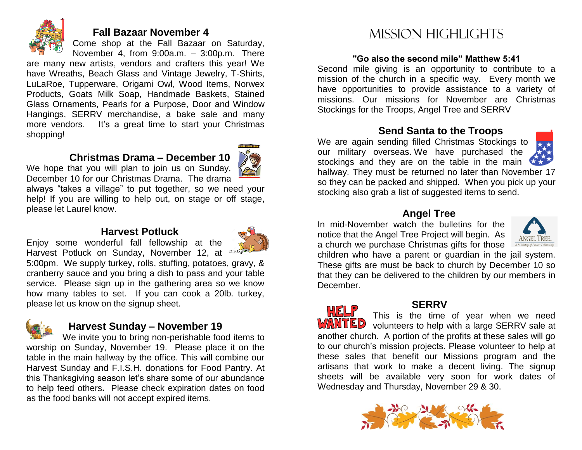

#### **Fall Bazaar November 4**

Come shop at the Fall Bazaar on Saturday, November 4, from 9:00a.m. – 3:00p.m. There

are many new artists, vendors and crafters this year! We have Wreaths, Beach Glass and Vintage Jewelry, T-Shirts, LuLaRoe, Tupperware, Origami Owl, Wood Items, Norwex Products, Goats Milk Soap, Handmade Baskets, Stained Glass Ornaments, Pearls for a Purpose, Door and Window Hangings, SERRV merchandise, a bake sale and many more vendors. It's a great time to start your Christmas shopping!

#### **Christmas Drama – December 10**



We hope that you will plan to join us on Sunday, December 10 for our Christmas Drama. The drama

always "takes a village" to put together, so we need your help! If you are willing to help out, on stage or off stage, please let Laurel know.

#### **Harvest Potluck**



Enjoy some wonderful fall fellowship at the Harvest Potluck on Sunday, November 12, at

5:00pm. We supply turkey, rolls, stuffing, potatoes, gravy, & cranberry sauce and you bring a dish to pass and your table service. Please sign up in the gathering area so we know how many tables to set. If you can cook a 20lb. turkey, please let us know on the signup sheet.



#### **Harvest Sunday – November 19**

We invite you to bring non-perishable food items to worship on Sunday, November 19. Please place it on the table in the main hallway by the office. This will combine our Harvest Sunday and F.I.S.H. donations for Food Pantry. At this Thanksgiving season let's share some of our abundance to help feed others**.** Please check expiration dates on food as the food banks will not accept expired items.

## Mission highlights

#### **"Go also the second mile" Matthew 5:41**

Second mile giving is an opportunity to contribute to a mission of the church in a specific way. Every month we have opportunities to provide assistance to a variety of missions. Our missions for November are Christmas Stockings for the Troops, Angel Tree and SERRV

#### **Send Santa to the Troops**

We are again sending filled Christmas Stockings to our military overseas. We have purchased the stockings and they are on the table in the main



hallway. They must be returned no later than November 17 so they can be packed and shipped. When you pick up your stocking also grab a list of suggested items to send.

#### **Angel Tree**

In mid-November watch the bulletins for the notice that the Angel Tree Project will begin. As a church we purchase Christmas gifts for those



children who have a parent or guardian in the jail system. These gifts are must be back to church by December 10 so that they can be delivered to the children by our members in December.

 **SERRV** WELF This is the time of year when we need volunteers to help with a large SERRV sale at another church. A portion of the profits at these sales will go to our church's mission projects. Please volunteer to help at these sales that benefit our Missions program and the artisans that work to make a decent living. The signup sheets will be available very soon for work dates of Wednesday and Thursday, November 29 & 30.

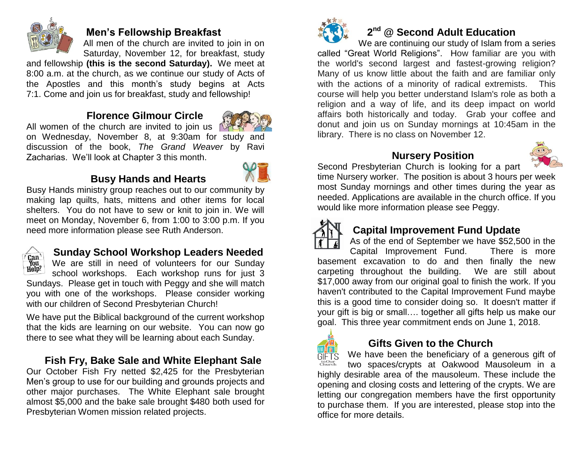

#### **Men's Fellowship Breakfast**

All men of the church are invited to join in on Saturday, November 12, for breakfast, study

and fellowship **(this is the second Saturday).** We meet at 8:00 a.m. at the church, as we continue our study of Acts of the Apostles and this month's study begins at Acts 7:1. Come and join us for breakfast, study and fellowship!

#### **Florence Gilmour Circle**



All women of the church are invited to join us  $\sqrt{2}$ on Wednesday, November 8, at 9:30am for study and discussion of the book, *The Grand Weaver* by Ravi Zacharias. We'll look at Chapter 3 this month.

### **Busy Hands and Hearts**



Busy Hands ministry group reaches out to our community by making lap quilts, hats, mittens and other items for local shelters. You do not have to sew or knit to join in. We will meet on Monday, November 6, from 1:00 to 3:00 p.m. If you need more information please see Ruth Anderson.



### **Sunday School Workshop Leaders Needed**

We are still in need of volunteers for our Sunday school workshops. Each workshop runs for just 3 Sundays. Please get in touch with Peggy and she will match you with one of the workshops. Please consider working with our children of Second Presbyterian Church!

We have put the Biblical background of the current workshop that the kids are learning on our website. You can now go there to see what they will be learning about each Sunday.

## **Fish Fry, Bake Sale and White Elephant Sale**

Our October Fish Fry netted \$2,425 for the Presbyterian Men's group to use for our building and grounds projects and other major purchases. The White Elephant sale brought almost \$5,000 and the bake sale brought \$480 both used for Presbyterian Women mission related projects.



## **2 nd @ Second Adult Education**

We are continuing our study of Islam from a series called "Great World Religions". How familiar are you with the world's second largest and fastest-growing religion? Many of us know little about the faith and are familiar only with the actions of a minority of radical extremists. This course will help you better understand Islam's role as both a religion and a way of life, and its deep impact on world affairs both historically and today. Grab your coffee and donut and join us on Sunday mornings at 10:45am in the library. There is no class on November 12.

#### **Nursery Position**



Second Presbyterian Church is looking for a part time Nursery worker. The position is about 3 hours per week most Sunday mornings and other times during the year as needed. Applications are available in the church office. If you would like more information please see Peggy.



### **Capital Improvement Fund Update**

As of the end of September we have \$52,500 in the Capital Improvement Fund. There is more basement excavation to do and then finally the new carpeting throughout the building. We are still about \$17,000 away from our original goal to finish the work. If you haven't contributed to the Capital Improvement Fund maybe this is a good time to consider doing so. It doesn't matter if your gift is big or small…. together all gifts help us make our goal. This three year commitment ends on June 1, 2018.



#### **Gifts Given to the Church**

We have been the beneficiary of a generous gift of **GIFTS** to Our<br>Church two spaces/crypts at Oakwood Mausoleum in a highly desirable area of the mausoleum. These include the opening and closing costs and lettering of the crypts. We are letting our congregation members have the first opportunity to purchase them. If you are interested, please stop into the office for more details.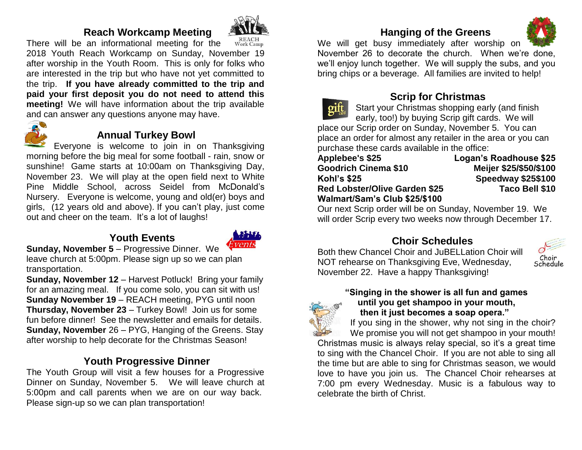#### **Reach Workcamp Meeting**



There will be an informational meeting for the 2018 Youth Reach Workcamp on Sunday, November 19 after worship in the Youth Room. This is only for folks who are interested in the trip but who have not yet committed to the trip. **If you have already committed to the trip and paid your first deposit you do not need to attend this meeting!** We will have information about the trip available and can answer any questions anyone may have.



#### **Annual Turkey Bowl**

Everyone is welcome to join in on Thanksgiving morning before the big meal for some football - rain, snow or sunshine! Game starts at 10:00am on Thanksgiving Day, November 23. We will play at the open field next to White Pine Middle School, across Seidel from McDonald's Nursery. Everyone is welcome, young and old(er) boys and girls, (12 years old and above). If you can't play, just come out and cheer on the team. It's a lot of laughs!

#### **Youth Events**



**Sunday, November 5** – Progressive Dinner. We leave church at 5:00pm. Please sign up so we can plan transportation.

**Sunday, November 12** – Harvest Potluck! Bring your family for an amazing meal. If you come solo, you can sit with us! **Sunday November 19** – REACH meeting, PYG until noon **Thursday, November 23** – Turkey Bowl! Join us for some fun before dinner! See the newsletter and emails for details. **Sunday, November** 26 – PYG, Hanging of the Greens. Stay after worship to help decorate for the Christmas Season!

### **Youth Progressive Dinner**

The Youth Group will visit a few houses for a Progressive Dinner on Sunday, November 5. We will leave church at 5:00pm and call parents when we are on our way back. Please sign-up so we can plan transportation!

## **Hanging of the Greens**



We will get busy immediately after worship on November 26 to decorate the church. When we're done, we'll enjoy lunch together. We will supply the subs, and you bring chips or a beverage. All families are invited to help!



#### **Scrip for Christmas**

Start your Christmas shopping early (and finish early, too!) by buying Scrip gift cards. We will place our Scrip order on Sunday, November 5. You can

place an order for almost any retailer in the area or you can purchase these cards available in the office:

| Applebee's \$25                      |  |
|--------------------------------------|--|
| <b>Goodrich Cinema \$10</b>          |  |
| Kohl's \$25                          |  |
| <b>Red Lobster/Olive Garden \$25</b> |  |
| Walmart/Sam's Club \$25/\$100        |  |

**Logan's Roadhouse \$25 Goodrich Cinema \$10 Meijer \$25/\$50/\$100 Kohl's \$25 Speedway \$25\$100 Taco Bell \$10** 

Our next Scrip order will be on Sunday, November 19. We will order Scrip every two weeks now through December 17.

#### **Choir Schedules**

Both thew Chancel Choir and JuBELLation Choir will NOT rehearse on Thanksgiving Eve, Wednesday, November 22. Have a happy Thanksgiving!



## **"Singing in the shower is all fun and games until you get shampoo in your mouth,**



 **then it just becomes a soap opera."** If you sing in the shower, why not sing in the choir?

We promise you will not get shampoo in your mouth! Christmas music is always relay special, so it's a great time to sing with the Chancel Choir. If you are not able to sing all the time but are able to sing for Christmas season, we would love to have you join us. The Chancel Choir rehearses at 7:00 pm every Wednesday. Music is a fabulous way to celebrate the birth of Christ.